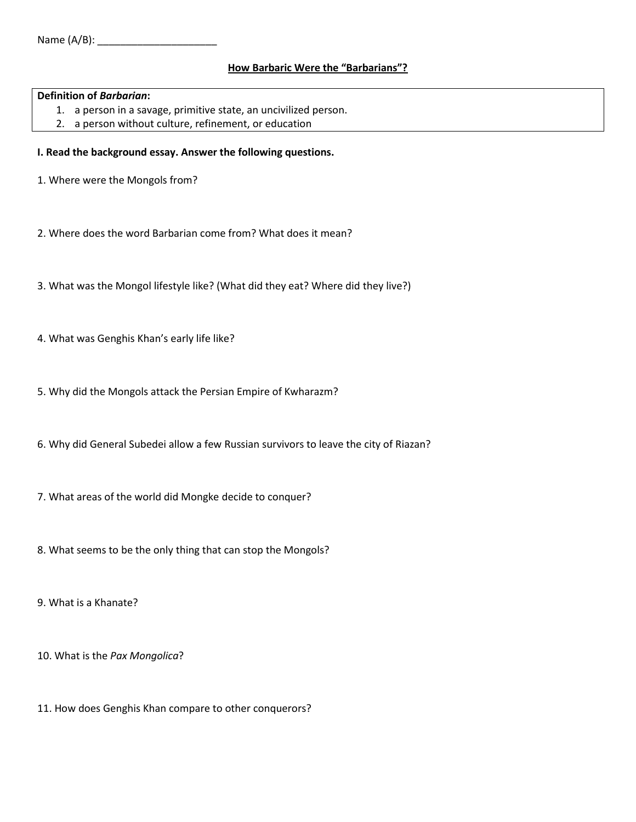## **How Barbaric Were the "Barbarians"?**

## **Definition of** *Barbarian***:**

- 1. a person in a savage, primitive state, an uncivilized person.
- 2. a person without [culture,](http://dictionary.reference.com/browse/culture) refinement, or education

## **I. Read the background essay. Answer the following questions.**

- 1. Where were the Mongols from?
- 2. Where does the word Barbarian come from? What does it mean?
- 3. What was the Mongol lifestyle like? (What did they eat? Where did they live?)
- 4. What was Genghis Khan's early life like?
- 5. Why did the Mongols attack the Persian Empire of Kwharazm?
- 6. Why did General Subedei allow a few Russian survivors to leave the city of Riazan?
- 7. What areas of the world did Mongke decide to conquer?
- 8. What seems to be the only thing that can stop the Mongols?
- 9. What is a Khanate?
- 10. What is the *Pax Mongolica*?
- 11. How does Genghis Khan compare to other conquerors?